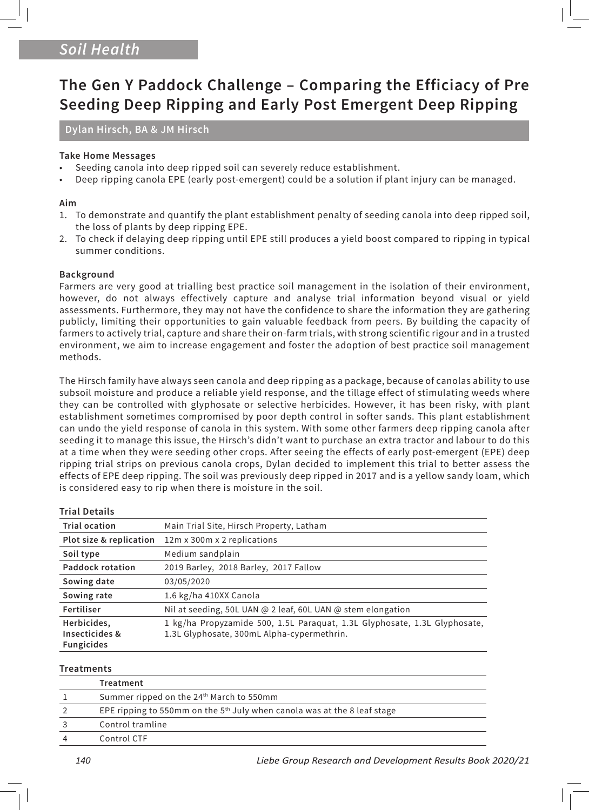# *Soil Health*

# **The Gen Y Paddock Challenge – Comparing the Efficiacy of Pre Seeding Deep Ripping and Early Post Emergent Deep Ripping**

## **Dylan Hirsch, BA & JM Hirsch**

### **Take Home Messages**

- Seeding canola into deep ripped soil can severely reduce establishment.
- Deep ripping canola EPE (early post-emergent) could be a solution if plant injury can be managed.

#### **Aim**

- 1. To demonstrate and quantify the plant establishment penalty of seeding canola into deep ripped soil, the loss of plants by deep ripping EPE.
- 2. To check if delaying deep ripping until EPE still produces a yield boost compared to ripping in typical summer conditions.

#### **Background**

Farmers are very good at trialling best practice soil management in the isolation of their environment, however, do not always effectively capture and analyse trial information beyond visual or yield assessments. Furthermore, they may not have the confidence to share the information they are gathering publicly, limiting their opportunities to gain valuable feedback from peers. By building the capacity of farmers to actively trial, capture and share their on-farm trials, with strong scientific rigour and in a trusted environment, we aim to increase engagement and foster the adoption of best practice soil management methods.

The Hirsch family have always seen canola and deep ripping as a package, because of canolas ability to use subsoil moisture and produce a reliable yield response, and the tillage effect of stimulating weeds where they can be controlled with glyphosate or selective herbicides. However, it has been risky, with plant establishment sometimes compromised by poor depth control in softer sands. This plant establishment can undo the yield response of canola in this system. With some other farmers deep ripping canola after seeding it to manage this issue, the Hirsch's didn't want to purchase an extra tractor and labour to do this at a time when they were seeding other crops. After seeing the effects of early post-emergent (EPE) deep ripping trial strips on previous canola crops, Dylan decided to implement this trial to better assess the effects of EPE deep ripping. The soil was previously deep ripped in 2017 and is a yellow sandy loam, which is considered easy to rip when there is moisture in the soil.

#### **Trial Details**

| <b>Trial ocation</b>                               | Main Trial Site, Hirsch Property, Latham                                                                                |  |
|----------------------------------------------------|-------------------------------------------------------------------------------------------------------------------------|--|
| Plot size & replication                            | 12m x 300m x 2 replications                                                                                             |  |
| Soil type                                          | Medium sandplain                                                                                                        |  |
| <b>Paddock rotation</b>                            | 2019 Barley, 2018 Barley, 2017 Fallow                                                                                   |  |
| Sowing date                                        | 03/05/2020                                                                                                              |  |
| Sowing rate                                        | 1.6 kg/ha 410XX Canola                                                                                                  |  |
| Fertiliser                                         | Nil at seeding, 50L UAN @ 2 leaf, 60L UAN @ stem elongation                                                             |  |
| Herbicides,<br>Insecticides &<br><b>Fungicides</b> | 1 kg/ha Propyzamide 500, 1.5L Paraquat, 1.3L Glyphosate, 1.3L Glyphosate,<br>1.3L Glyphosate, 300mL Alpha-cypermethrin. |  |

#### **Treatments**

| Treatment                                                                  |
|----------------------------------------------------------------------------|
| Summer ripped on the 24 <sup>th</sup> March to 550mm                       |
| EPE ripping to 550mm on the $5th$ July when canola was at the 8 leaf stage |
| Control tramline                                                           |
| Control CTF                                                                |